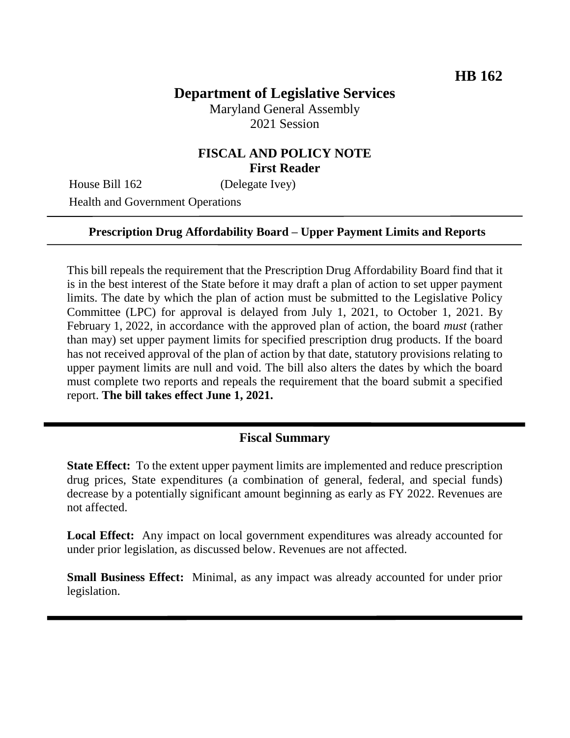# **Department of Legislative Services**

Maryland General Assembly 2021 Session

### **FISCAL AND POLICY NOTE First Reader**

House Bill 162 (Delegate Ivey)

Health and Government Operations

#### **Prescription Drug Affordability Board – Upper Payment Limits and Reports**

This bill repeals the requirement that the Prescription Drug Affordability Board find that it is in the best interest of the State before it may draft a plan of action to set upper payment limits. The date by which the plan of action must be submitted to the Legislative Policy Committee (LPC) for approval is delayed from July 1, 2021, to October 1, 2021. By February 1, 2022, in accordance with the approved plan of action, the board *must* (rather than may) set upper payment limits for specified prescription drug products. If the board has not received approval of the plan of action by that date, statutory provisions relating to upper payment limits are null and void. The bill also alters the dates by which the board must complete two reports and repeals the requirement that the board submit a specified report. **The bill takes effect June 1, 2021.**

# **Fiscal Summary**

**State Effect:** To the extent upper payment limits are implemented and reduce prescription drug prices, State expenditures (a combination of general, federal, and special funds) decrease by a potentially significant amount beginning as early as FY 2022. Revenues are not affected.

**Local Effect:** Any impact on local government expenditures was already accounted for under prior legislation, as discussed below. Revenues are not affected.

**Small Business Effect:** Minimal, as any impact was already accounted for under prior legislation.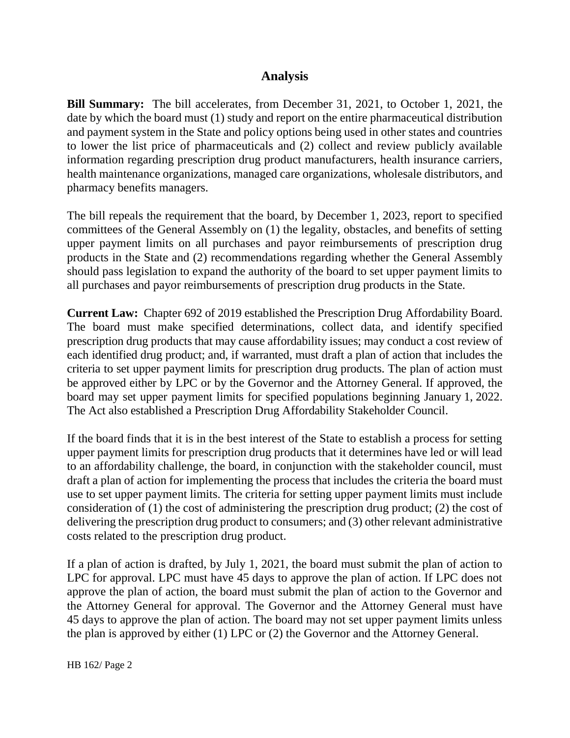# **Analysis**

**Bill Summary:** The bill accelerates, from December 31, 2021, to October 1, 2021, the date by which the board must (1) study and report on the entire pharmaceutical distribution and payment system in the State and policy options being used in other states and countries to lower the list price of pharmaceuticals and (2) collect and review publicly available information regarding prescription drug product manufacturers, health insurance carriers, health maintenance organizations, managed care organizations, wholesale distributors, and pharmacy benefits managers.

The bill repeals the requirement that the board, by December 1, 2023, report to specified committees of the General Assembly on (1) the legality, obstacles, and benefits of setting upper payment limits on all purchases and payor reimbursements of prescription drug products in the State and (2) recommendations regarding whether the General Assembly should pass legislation to expand the authority of the board to set upper payment limits to all purchases and payor reimbursements of prescription drug products in the State.

**Current Law:** Chapter 692 of 2019 established the Prescription Drug Affordability Board. The board must make specified determinations, collect data, and identify specified prescription drug products that may cause affordability issues; may conduct a cost review of each identified drug product; and, if warranted, must draft a plan of action that includes the criteria to set upper payment limits for prescription drug products. The plan of action must be approved either by LPC or by the Governor and the Attorney General. If approved, the board may set upper payment limits for specified populations beginning January 1, 2022. The Act also established a Prescription Drug Affordability Stakeholder Council.

If the board finds that it is in the best interest of the State to establish a process for setting upper payment limits for prescription drug products that it determines have led or will lead to an affordability challenge, the board, in conjunction with the stakeholder council, must draft a plan of action for implementing the process that includes the criteria the board must use to set upper payment limits. The criteria for setting upper payment limits must include consideration of (1) the cost of administering the prescription drug product; (2) the cost of delivering the prescription drug product to consumers; and (3) other relevant administrative costs related to the prescription drug product.

If a plan of action is drafted, by July 1, 2021, the board must submit the plan of action to LPC for approval. LPC must have 45 days to approve the plan of action. If LPC does not approve the plan of action, the board must submit the plan of action to the Governor and the Attorney General for approval. The Governor and the Attorney General must have 45 days to approve the plan of action. The board may not set upper payment limits unless the plan is approved by either (1) LPC or (2) the Governor and the Attorney General.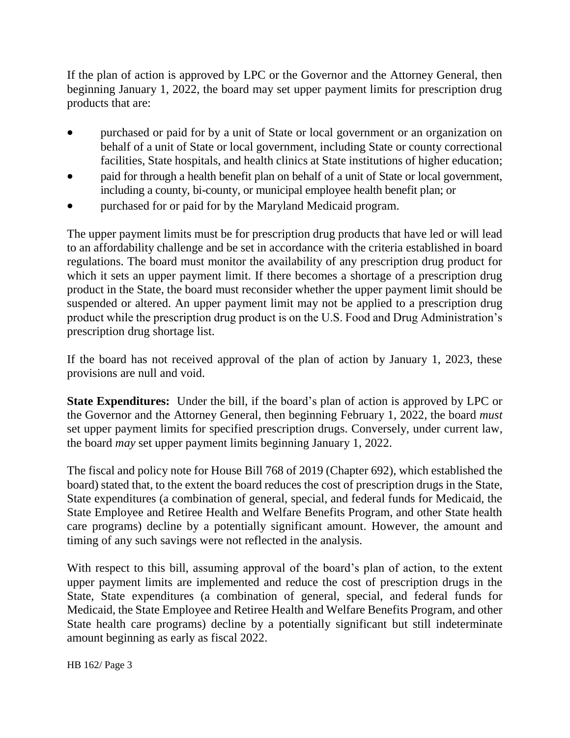If the plan of action is approved by LPC or the Governor and the Attorney General, then beginning January 1, 2022, the board may set upper payment limits for prescription drug products that are:

- purchased or paid for by a unit of State or local government or an organization on behalf of a unit of State or local government, including State or county correctional facilities, State hospitals, and health clinics at State institutions of higher education;
- paid for through a health benefit plan on behalf of a unit of State or local government, including a county, bi-county, or municipal employee health benefit plan; or
- purchased for or paid for by the Maryland Medicaid program.

The upper payment limits must be for prescription drug products that have led or will lead to an affordability challenge and be set in accordance with the criteria established in board regulations. The board must monitor the availability of any prescription drug product for which it sets an upper payment limit. If there becomes a shortage of a prescription drug product in the State, the board must reconsider whether the upper payment limit should be suspended or altered. An upper payment limit may not be applied to a prescription drug product while the prescription drug product is on the U.S. Food and Drug Administration's prescription drug shortage list.

If the board has not received approval of the plan of action by January 1, 2023, these provisions are null and void.

**State Expenditures:** Under the bill, if the board's plan of action is approved by LPC or the Governor and the Attorney General, then beginning February 1, 2022, the board *must* set upper payment limits for specified prescription drugs. Conversely, under current law, the board *may* set upper payment limits beginning January 1, 2022.

The fiscal and policy note for House Bill 768 of 2019 (Chapter 692), which established the board) stated that, to the extent the board reduces the cost of prescription drugs in the State, State expenditures (a combination of general, special, and federal funds for Medicaid, the State Employee and Retiree Health and Welfare Benefits Program, and other State health care programs) decline by a potentially significant amount. However, the amount and timing of any such savings were not reflected in the analysis.

With respect to this bill, assuming approval of the board's plan of action, to the extent upper payment limits are implemented and reduce the cost of prescription drugs in the State, State expenditures (a combination of general, special, and federal funds for Medicaid, the State Employee and Retiree Health and Welfare Benefits Program, and other State health care programs) decline by a potentially significant but still indeterminate amount beginning as early as fiscal 2022.